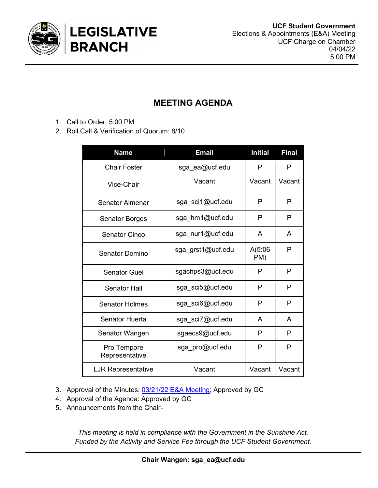

## MEETING AGENDA

- 1. Call to Order: 5:00 PM
- 2. Roll Call & Verification of Quorum: 8/10

| <b>Name</b>                   | <b>Email</b>      | <b>Initial</b> | <b>Final</b> |
|-------------------------------|-------------------|----------------|--------------|
| <b>Chair Foster</b>           | sga ea@ucf.edu    | P              | P            |
| Vice-Chair                    | Vacant            | Vacant         | Vacant       |
| Senator Almenar               | sga sci1@ucf.edu  | P              | P            |
| <b>Senator Borges</b>         | sga hm1@ucf.edu   | P              | P            |
| <b>Senator Cinco</b>          | sga nur1@ucf.edu  | A              | A            |
| <b>Senator Domino</b>         | sga_grst1@ucf.edu | A(5:06)<br>PM) | P            |
| <b>Senator Guel</b>           | sgachps3@ucf.edu  | P              | P            |
| <b>Senator Hall</b>           | sga_sci5@ucf.edu  | P              | P            |
| <b>Senator Holmes</b>         | sga sci6@ucf.edu  | P              | P            |
| Senator Huerta                | sga sci7@ucf.edu  | A              | A            |
| Senator Wangen                | sgaecs9@ucf.edu   | P              | P            |
| Pro Tempore<br>Representative | sga_pro@ucf.edu   | P              | P            |
| <b>LJR Representative</b>     | Vacant            | Vacant         | Vacant       |

- 3. Approval of the Minutes: 03/21/22 E&A Meeting; Approved by GC
- 4. Approval of the Agenda: Approved by GC
- 5. Announcements from the Chair-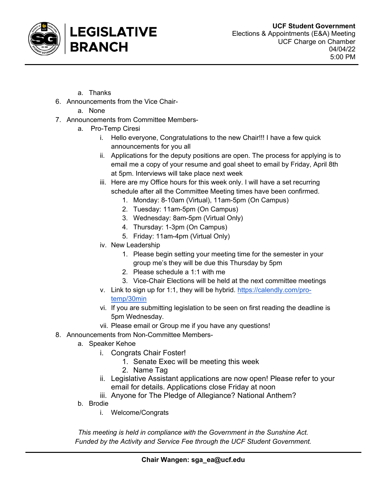

a. Thanks

**BRANCH** 

6. Announcements from the Vice Chair-

**LEGISLATIVE** 

- a. None
- 7. Announcements from Committee Members
	- a. Pro-Temp Ciresi
		- i. Hello everyone, Congratulations to the new Chair!!! I have a few quick announcements for you all
		- ii. Applications for the deputy positions are open. The process for applying is to email me a copy of your resume and goal sheet to email by Friday, April 8th at 5pm. Interviews will take place next week
		- iii. Here are my Office hours for this week only. I will have a set recurring schedule after all the Committee Meeting times have been confirmed.
			- 1. Monday: 8-10am (Virtual), 11am-5pm (On Campus)
			- 2. Tuesday: 11am-5pm (On Campus)
			- 3. Wednesday: 8am-5pm (Virtual Only)
			- 4. Thursday: 1-3pm (On Campus)
			- 5. Friday: 11am-4pm (Virtual Only)
		- iv. New Leadership
			- 1. Please begin setting your meeting time for the semester in your group me's they will be due this Thursday by 5pm
			- 2. Please schedule a 1:1 with me
			- 3. Vice-Chair Elections will be held at the next committee meetings
		- v. Link to sign up for 1:1, they will be hybrid. https://calendly.com/protemp/30min
		- vi. If you are submitting legislation to be seen on first reading the deadline is 5pm Wednesday.
		- vii. Please email or Group me if you have any questions!
- 8. Announcements from Non-Committee Members
	- a. Speaker Kehoe
		- i. Congrats Chair Foster!
			- 1. Senate Exec will be meeting this week
			- 2. Name Tag
		- ii. Legislative Assistant applications are now open! Please refer to your email for details. Applications close Friday at noon
		- iii. Anyone for The Pledge of Allegiance? National Anthem?
	- b. Brodie
		- i. Welcome/Congrats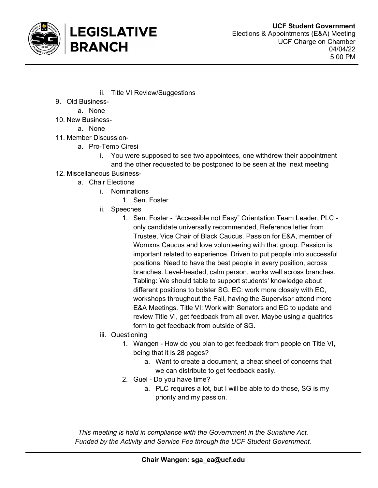

- ii. Title VI Review/Suggestions
- 9. Old Business
	- a. None
- 10. New Business
	- a. None
- 11. Member Discussion
	- a. Pro-Temp Ciresi

LEGISLATIVE

**BRANCH** 

- i. You were supposed to see two appointees, one withdrew their appointment and the other requested to be postponed to be seen at the next meeting
- 12. Miscellaneous Business
	- a. Chair Elections
		- i. Nominations
			- 1. Sen. Foster
		- ii. Speeches
			- 1. Sen. Foster "Accessible not Easy" Orientation Team Leader, PLC only candidate universally recommended, Reference letter from Trustee, Vice Chair of Black Caucus. Passion for E&A, member of Womxns Caucus and love volunteering with that group. Passion is important related to experience. Driven to put people into successful positions. Need to have the best people in every position, across branches. Level-headed, calm person, works well across branches. Tabling: We should table to support students' knowledge about different positions to bolster SG. EC: work more closely with EC, workshops throughout the Fall, having the Supervisor attend more E&A Meetings. Title VI: Work with Senators and EC to update and review Title VI, get feedback from all over. Maybe using a qualtrics form to get feedback from outside of SG.
		- iii. Questioning
			- 1. Wangen How do you plan to get feedback from people on Title VI, being that it is 28 pages?
				- a. Want to create a document, a cheat sheet of concerns that we can distribute to get feedback easily.
			- 2. Guel Do you have time?
				- a. PLC requires a lot, but I will be able to do those, SG is my priority and my passion.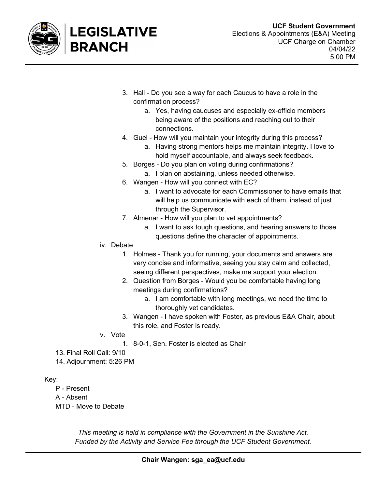

- 3. Hall Do you see a way for each Caucus to have a role in the confirmation process?
	- a. Yes, having caucuses and especially ex-officio members being aware of the positions and reaching out to their connections.
- 4. Guel How will you maintain your integrity during this process?
	- a. Having strong mentors helps me maintain integrity. I love to hold myself accountable, and always seek feedback.
- 5. Borges Do you plan on voting during confirmations? a. I plan on abstaining, unless needed otherwise.
- 6. Wangen How will you connect with EC?
	- a. I want to advocate for each Commissioner to have emails that will help us communicate with each of them, instead of just through the Supervisor.
- 7. Almenar How will you plan to vet appointments?
	- a. I want to ask tough questions, and hearing answers to those questions define the character of appointments.
- iv. Debate

LEGISLATIVE

**BRANCH** 

- 1. Holmes Thank you for running, your documents and answers are very concise and informative, seeing you stay calm and collected, seeing different perspectives, make me support your election.
- 2. Question from Borges Would you be comfortable having long meetings during confirmations?
	- a. I am comfortable with long meetings, we need the time to thoroughly vet candidates.
- 3. Wangen I have spoken with Foster, as previous E&A Chair, about this role, and Foster is ready.
- v. Vote
	- 1. 8-0-1, Sen. Foster is elected as Chair
- 13. Final Roll Call: 9/10
- 14. Adjournment: 5:26 PM

## Key:

- P Present
- A Absent
- MTD Move to Debate